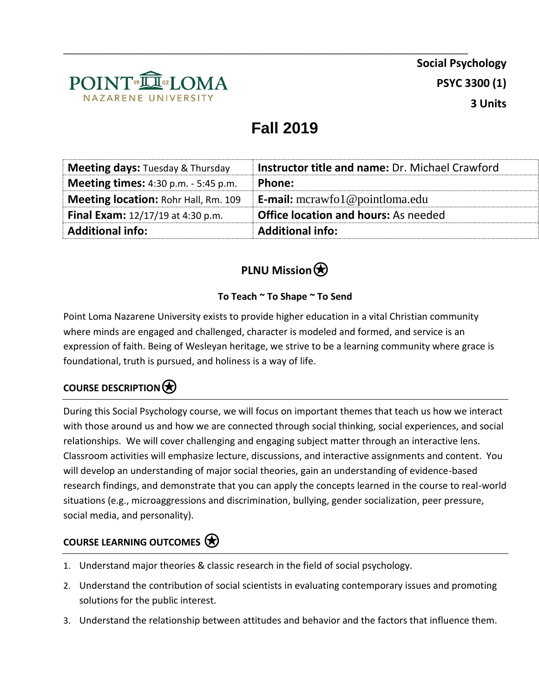

**Social Psychology PSYC 3300 (1) 3 Units**

# **Fall 2019**

\_\_\_\_\_\_\_\_\_\_\_\_\_\_\_\_\_\_\_\_\_\_\_\_\_\_\_\_\_\_\_\_\_\_\_\_\_\_\_\_\_\_\_\_\_\_\_\_\_\_\_\_\_\_\_\_\_\_\_\_\_\_\_\_\_\_\_\_\_\_\_\_\_\_\_\_\_\_\_\_\_\_\_\_

| <b>Office location and hours:</b> As needed            |
|--------------------------------------------------------|
|                                                        |
| <b>E-mail:</b> mcrawfol@pointloma.edu                  |
| Phone:                                                 |
| <b>Instructor title and name: Dr. Michael Crawford</b> |
|                                                        |

# **PLNU Mission**

#### **To Teach ~ To Shape ~ To Send**

Point Loma Nazarene University exists to provide higher education in a vital Christian community where minds are engaged and challenged, character is modeled and formed, and service is an expression of faith. Being of Wesleyan heritage, we strive to be a learning community where grace is foundational, truth is pursued, and holiness is a way of life.

### **COURSE DESCRIPTION**⍟

During this Social Psychology course, we will focus on important themes that teach us how we interact with those around us and how we are connected through social thinking, social experiences, and social relationships. We will cover challenging and engaging subject matter through an interactive lens. Classroom activities will emphasize lecture, discussions, and interactive assignments and content. You will develop an understanding of major social theories, gain an understanding of evidence-based research findings, and demonstrate that you can apply the concepts learned in the course to real-world situations (e.g., microaggressions and discrimination, bullying, gender socialization, peer pressure, social media, and personality).

#### **COURSE LEARNING OUTCOMES**⍟

- 1. Understand major theories & classic research in the field of social psychology.
- 2. Understand the contribution of social scientists in evaluating contemporary issues and promoting solutions for the public interest.
- 3. Understand the relationship between attitudes and behavior and the factors that influence them.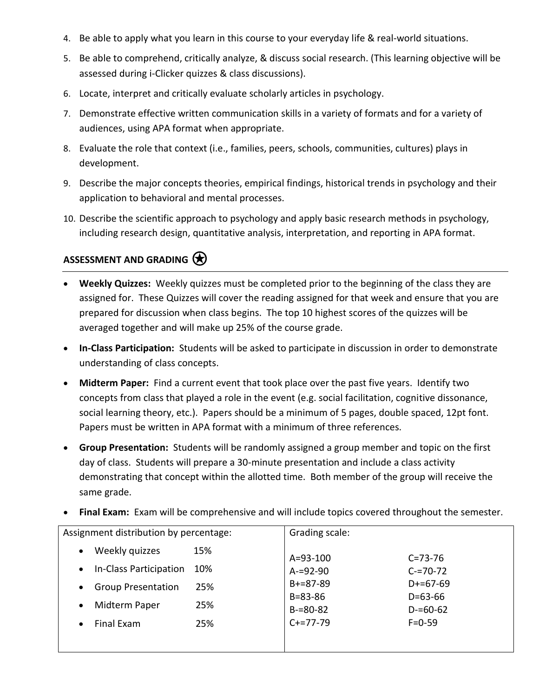- 4. Be able to apply what you learn in this course to your everyday life & real-world situations.
- 5. Be able to comprehend, critically analyze, & discuss social research. (This learning objective will be assessed during i-Clicker quizzes & class discussions).
- 6. Locate, interpret and critically evaluate scholarly articles in psychology.
- 7. Demonstrate effective written communication skills in a variety of formats and for a variety of audiences, using APA format when appropriate.
- 8. Evaluate the role that context (i.e., families, peers, schools, communities, cultures) plays in development.
- 9. Describe the major concepts theories, empirical findings, historical trends in psychology and their application to behavioral and mental processes.
- 10. Describe the scientific approach to psychology and apply basic research methods in psychology, including research design, quantitative analysis, interpretation, and reporting in APA format.

#### ASSESSMENT AND GRADING  $\bigcirc$

- **Weekly Quizzes:** Weekly quizzes must be completed prior to the beginning of the class they are assigned for. These Quizzes will cover the reading assigned for that week and ensure that you are prepared for discussion when class begins. The top 10 highest scores of the quizzes will be averaged together and will make up 25% of the course grade.
- **In-Class Participation:** Students will be asked to participate in discussion in order to demonstrate understanding of class concepts.
- **Midterm Paper:** Find a current event that took place over the past five years. Identify two concepts from class that played a role in the event (e.g. social facilitation, cognitive dissonance, social learning theory, etc.). Papers should be a minimum of 5 pages, double spaced, 12pt font. Papers must be written in APA format with a minimum of three references.
- **Group Presentation:** Students will be randomly assigned a group member and topic on the first day of class. Students will prepare a 30-minute presentation and include a class activity demonstrating that concept within the allotted time. Both member of the group will receive the same grade.
- **Final Exam:** Exam will be comprehensive and will include topics covered throughout the semester.

| Assignment distribution by percentage:        | Grading scale:                                               |
|-----------------------------------------------|--------------------------------------------------------------|
| Weekly quizzes<br>15%<br>$\bullet$            | A=93-100<br>$C = 73 - 76$                                    |
| In-Class Participation<br>10%<br>$\bullet$    | $A = 92 - 90$<br>$C = 70 - 72$                               |
| <b>Group Presentation</b><br>25%<br>$\bullet$ | $B+=87-89$<br>$D+=67-69$                                     |
| Midterm Paper<br>25%<br>$\bullet$             | $B = 83 - 86$<br>$D=63-66$<br>$B = 80 - 82$<br>$D = 60 - 62$ |
| Final Exam<br>25%<br>$\bullet$                | $C+=77-79$<br>$F = 0.59$                                     |
|                                               |                                                              |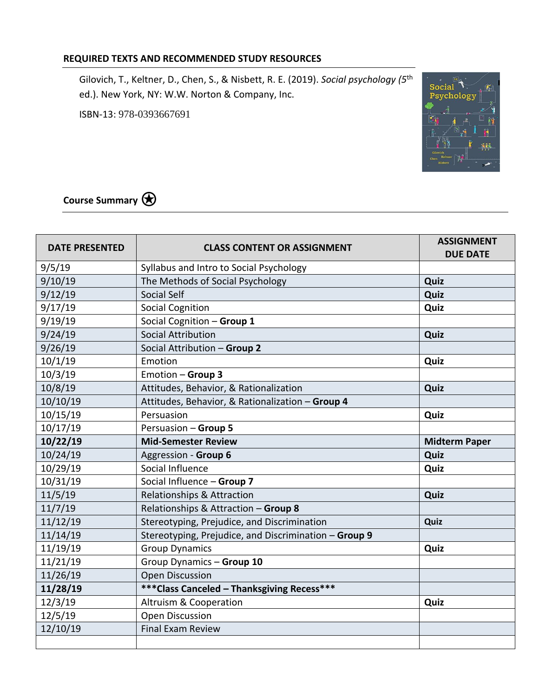#### **REQUIRED TEXTS AND RECOMMENDED STUDY RESOURCES**

Gilovich, T., Keltner, D., Chen, S., & Nisbett, R. E. (2019). *Social psychology (5*th ed.). New York, NY: W.W. Norton & Company, Inc.

ISBN-13: 978-0393667691



**Course Summary**⍟

| <b>DATE PRESENTED</b> | <b>CLASS CONTENT OR ASSIGNMENT</b>                    | <b>ASSIGNMENT</b><br><b>DUE DATE</b> |
|-----------------------|-------------------------------------------------------|--------------------------------------|
| 9/5/19                | Syllabus and Intro to Social Psychology               |                                      |
| 9/10/19               | The Methods of Social Psychology                      | Quiz                                 |
| 9/12/19               | Social Self                                           | Quiz                                 |
| 9/17/19               | <b>Social Cognition</b>                               | Quiz                                 |
| 9/19/19               | Social Cognition - Group 1                            |                                      |
| 9/24/19               | <b>Social Attribution</b>                             | Quiz                                 |
| 9/26/19               | Social Attribution - Group 2                          |                                      |
| 10/1/19               | Emotion                                               | Quiz                                 |
| 10/3/19               | Emotion - Group 3                                     |                                      |
| 10/8/19               | Attitudes, Behavior, & Rationalization                | Quiz                                 |
| 10/10/19              | Attitudes, Behavior, & Rationalization - Group 4      |                                      |
| 10/15/19              | Persuasion                                            | Quiz                                 |
| 10/17/19              | Persuasion - Group 5                                  |                                      |
| 10/22/19              | <b>Mid-Semester Review</b>                            | <b>Midterm Paper</b>                 |
| 10/24/19              | Aggression - Group 6                                  | Quiz                                 |
| 10/29/19              | Social Influence                                      | Quiz                                 |
| 10/31/19              | Social Influence - Group 7                            |                                      |
| 11/5/19               | <b>Relationships &amp; Attraction</b>                 | Quiz                                 |
| 11/7/19               | Relationships & Attraction - Group 8                  |                                      |
| 11/12/19              | Stereotyping, Prejudice, and Discrimination           | Quiz                                 |
| 11/14/19              | Stereotyping, Prejudice, and Discrimination - Group 9 |                                      |
| 11/19/19              | <b>Group Dynamics</b>                                 | Quiz                                 |
| 11/21/19              | Group Dynamics - Group 10                             |                                      |
| 11/26/19              | <b>Open Discussion</b>                                |                                      |
| 11/28/19              | *** Class Canceled - Thanksgiving Recess***           |                                      |
| 12/3/19               | Altruism & Cooperation                                | Quiz                                 |
| 12/5/19               | Open Discussion                                       |                                      |
| 12/10/19              | <b>Final Exam Review</b>                              |                                      |
|                       |                                                       |                                      |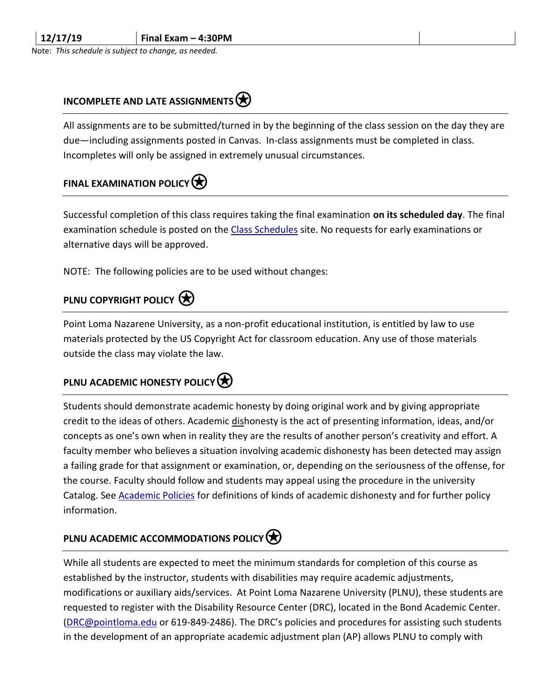Note: *This schedule is subject to change, as needed.*

#### **INCOMPLETE AND LATE ASSIGNMENTS**

All assignments are to be submitted/turned in by the beginning of the class session on the day they are due—including assignments posted in Canvas. In-class assignments must be completed in class. Incompletes will only be assigned in extremely unusual circumstances.

### **FINAL EXAMINATION POLICY**

Successful completion of this class requires taking the final examination **on its scheduled day**. The final examination schedule is posted on the [Class Schedules](http://www.pointloma.edu/experience/academics/class-schedules) site. No requests for early examinations or alternative days will be approved.

NOTE: The following policies are to be used without changes:

#### **PLNU COPYRIGHT POLICY (★)**

Point Loma Nazarene University, as a non-profit educational institution, is entitled by law to use materials protected by the US Copyright Act for classroom education. Any use of those materials outside the class may violate the law.

### **PLNU ACADEMIC HONESTY POLICY**

Students should demonstrate academic honesty by doing original work and by giving appropriate credit to the ideas of others. Academic dishonesty is the act of presenting information, ideas, and/or concepts as one's own when in reality they are the results of another person's creativity and effort. A faculty member who believes a situation involving academic dishonesty has been detected may assign a failing grade for that assignment or examination, or, depending on the seriousness of the offense, for the course. Faculty should follow and students may appeal using the procedure in the university Catalog. See [Academic Policies](http://catalog.pointloma.edu/content.php?catoid=18&navoid=1278) for definitions of kinds of academic dishonesty and for further policy information.

#### **PLNU ACADEMIC ACCOMMODATIONS POLICY**

While all students are expected to meet the minimum standards for completion of this course as established by the instructor, students with disabilities may require academic adjustments, modifications or auxiliary aids/services. At Point Loma Nazarene University (PLNU), these students are requested to register with the Disability Resource Center (DRC), located in the Bond Academic Center. [\(DRC@pointloma.edu](mailto:DRC@pointloma.edu) or 619-849-2486). The DRC's policies and procedures for assisting such students in the development of an appropriate academic adjustment plan (AP) allows PLNU to comply with